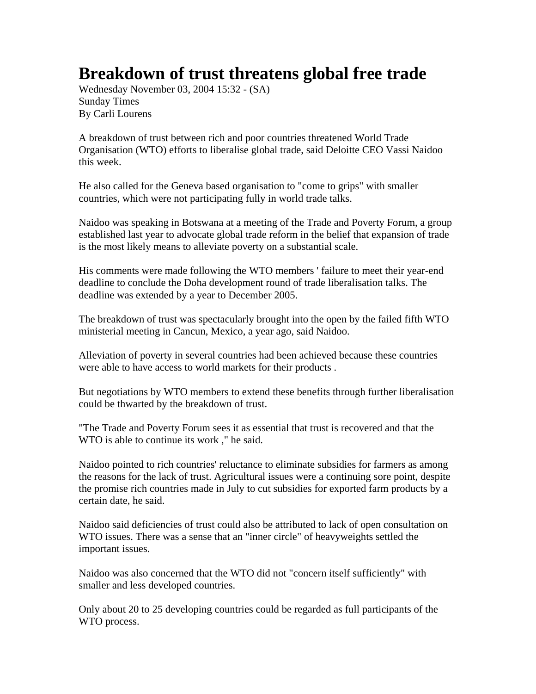## **Breakdown of trust threatens global free trade**

Wednesday November 03, 2004 15:32 - (SA) Sunday Times By Carli Lourens

A breakdown of trust between rich and poor countries threatened World Trade Organisation (WTO) efforts to liberalise global trade, said Deloitte CEO Vassi Naidoo this week.

He also called for the Geneva based organisation to "come to grips" with smaller countries, which were not participating fully in world trade talks.

Naidoo was speaking in Botswana at a meeting of the Trade and Poverty Forum, a group established last year to advocate global trade reform in the belief that expansion of trade is the most likely means to alleviate poverty on a substantial scale.

His comments were made following the WTO members ' failure to meet their year-end deadline to conclude the Doha development round of trade liberalisation talks. The deadline was extended by a year to December 2005.

The breakdown of trust was spectacularly brought into the open by the failed fifth WTO ministerial meeting in Cancun, Mexico, a year ago, said Naidoo.

Alleviation of poverty in several countries had been achieved because these countries were able to have access to world markets for their products .

But negotiations by WTO members to extend these benefits through further liberalisation could be thwarted by the breakdown of trust.

"The Trade and Poverty Forum sees it as essential that trust is recovered and that the WTO is able to continue its work ," he said.

Naidoo pointed to rich countries' reluctance to eliminate subsidies for farmers as among the reasons for the lack of trust. Agricultural issues were a continuing sore point, despite the promise rich countries made in July to cut subsidies for exported farm products by a certain date, he said.

Naidoo said deficiencies of trust could also be attributed to lack of open consultation on WTO issues. There was a sense that an "inner circle" of heavyweights settled the important issues.

Naidoo was also concerned that the WTO did not "concern itself sufficiently" with smaller and less developed countries.

Only about 20 to 25 developing countries could be regarded as full participants of the WTO process.